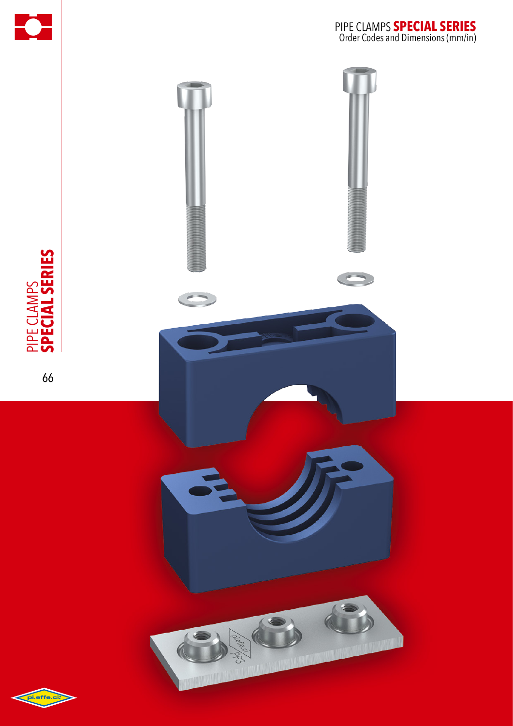



PIPE CLAMPS<br>Special series **special series** pipe clamps

66

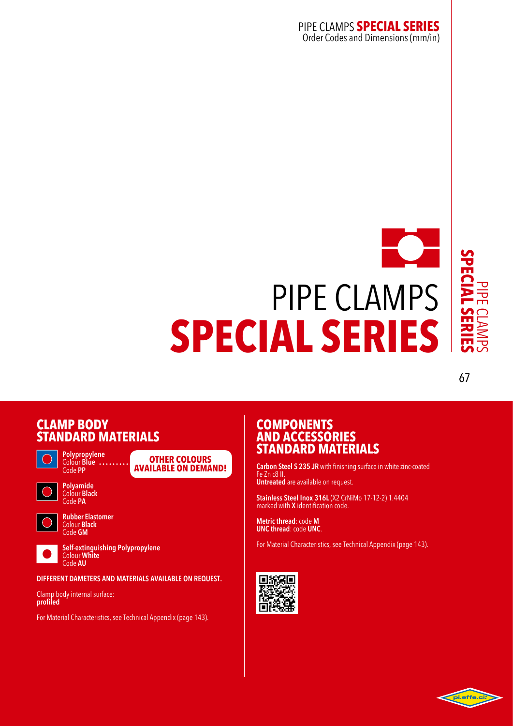### pipe clamps **special series** Order Codes and Dimensions (mm/in)



67

### **CLAMP**<sub>B</sub> **STANDARD** M



**Polypropylene**  Colour **Blue** Code **PP**



Colour **Black** Code **PA**



**Rubber Elastomer**  Colour **Black**  Code **GM**

**Self-extinguishing Polypropylene** Colour **White** Code **AU**

**DIFFERENT DAMETERS AND MATERIALS AVAILABLE ON REQUEST.**

**Other colours available on demand!**

Clamp body internal surface: **profiled**

For Material Characteristics, see Technical Appendix (page 143).

### **COMPONENTS ANDA STANDARD MATERIALS**

**Carbon Steel S 235 JR** with finishing surface in white zinc-coated Fe Zn c8 II. **Untreated** are available on request.

**Stainless Steel Inox 316L** (X2 CrNiMo 17-12-2) 1.4404 marked with **X** identification code.

**Metric thread**: code **M UNC thread**: code **UNC**.

For Material Characteristics, see Technical Appendix (page 143).



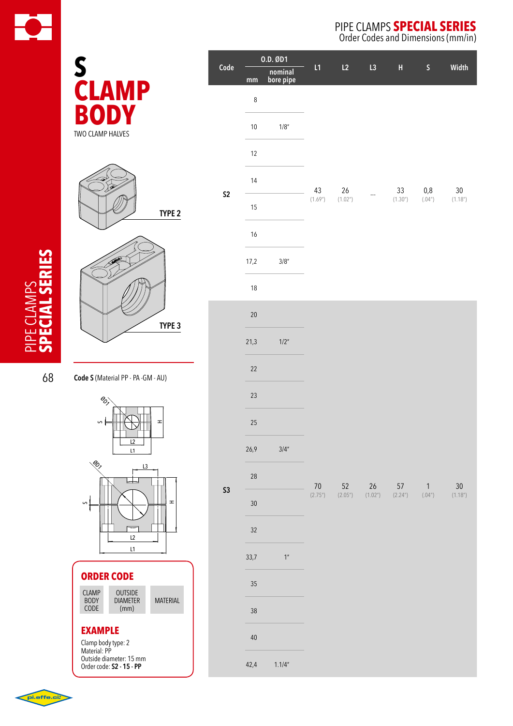

|                                     |                |      | 0.D. ØD1             |  |
|-------------------------------------|----------------|------|----------------------|--|
|                                     | Code           | mm   | nominal<br>bore pipe |  |
| S<br>CLAMP                          |                | 8    |                      |  |
| TWO CLAMP HALVES                    |                | $10$ | 1/8"                 |  |
|                                     |                | 12   |                      |  |
|                                     | S <sub>2</sub> | 14   |                      |  |
| TYPE <sub>2</sub>                   |                | 15   |                      |  |
|                                     |                | 16   |                      |  |
|                                     |                | 17,2 | 3/8''                |  |
|                                     |                | 18   |                      |  |
| TYPE 3                              |                | 20   |                      |  |
|                                     |                | 21,3 | 1/2"                 |  |
| Code S (Material PP - PA - GM - AU) |                | 22   |                      |  |
| est                                 |                | 23   |                      |  |
| S<br>H                              |                | 25   |                      |  |
| L2<br>L1                            |                | 26,9 | 3/4''                |  |
| S<br>L3                             |                | 28   |                      |  |
| S<br>H                              | <b>S3</b>      | 30   |                      |  |
|                                     |                |      |                      |  |

### **ORDER CODE**

| <b>CLAMP</b><br><b>BODY</b><br>CODE | <b>OUTSIDE</b><br><b>DIAMETER</b><br>(mm) | <b>MATERIAL</b> |
|-------------------------------------|-------------------------------------------|-----------------|
|-------------------------------------|-------------------------------------------|-----------------|

L1

L2

#### **EXAMPLE**

Clamp body type: 2 Material: PP Outside diameter: 15 mm Order code: **S2 - 15 - PP**

## pipe clamps **special series**

Order Codes and Dimensions (mm/in)

| Code       | 0.D. ØD1 |                      | L1      | L2                         | L3      | H  | $S_{\perp}$                                               | Width  |
|------------|----------|----------------------|---------|----------------------------|---------|----|-----------------------------------------------------------|--------|
|            | mm       | nominal<br>bore pipe |         |                            |         |    |                                                           |        |
|            | $\bf 8$  |                      |         |                            |         |    |                                                           |        |
|            | $10$     | 1/8"                 |         | 26<br>(1.02 <sup>n</sup> ) |         | 33 | 0,8                                                       | $30\,$ |
|            | $12\,$   |                      |         |                            |         |    |                                                           |        |
|            | 14       |                      | 43      |                            |         |    |                                                           |        |
| ${\sf S2}$ | 15       |                      | (1.69") |                            |         |    | $(1.30")$ $(.04")$ $(1.18")$                              |        |
|            | 16       |                      |         |                            |         |    |                                                           |        |
|            | 17,2     | $3/8$ "              |         |                            |         |    |                                                           |        |
|            | $18\,$   |                      |         |                            |         |    |                                                           |        |
|            | 20       |                      | 70      | 52                         | 26 57 1 |    | $(2.75")$ $(2.05")$ $(1.02")$ $(2.24")$ $(04")$ $(1.18")$ | 30     |
|            | 21,3     | $1/2$ "              |         |                            |         |    |                                                           |        |
|            | 22       |                      |         |                            |         |    |                                                           |        |
|            | 23       |                      |         |                            |         |    |                                                           |        |
|            | 25       |                      |         |                            |         |    |                                                           |        |
|            | 26,9     | 3/4''                |         |                            |         |    |                                                           |        |
| <b>S3</b>  | $28\,$   |                      |         |                            |         |    |                                                           |        |
|            | 30       |                      |         |                            |         |    |                                                           |        |
|            | 32       |                      |         |                            |         |    |                                                           |        |
|            | 33,7     | 1 <sup>''</sup>      |         |                            |         |    |                                                           |        |
|            | 35       |                      |         |                            |         |    |                                                           |        |
|            | 38       |                      |         |                            |         |    |                                                           |        |
|            | 40       |                      |         |                            |         |    |                                                           |        |
|            | 42,4     | 1.1/4"               |         |                            |         |    |                                                           |        |



68

**special series**

PIPE CLAMPS<br>Special series

pipe clamps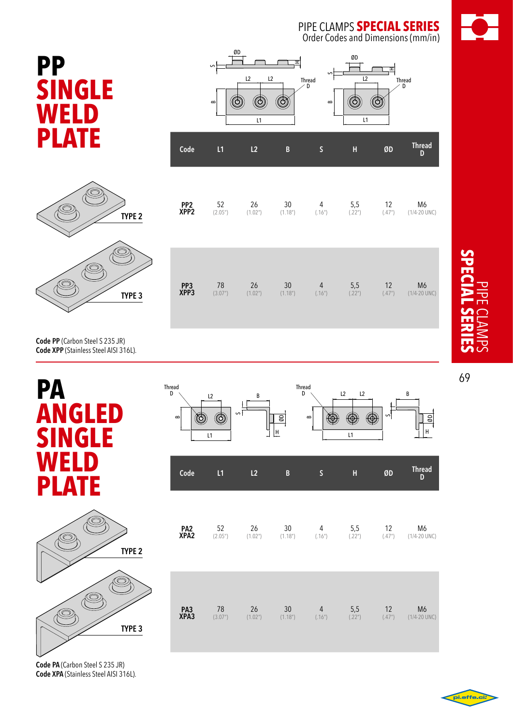pipe clamps **special series** Order Codes and Dimensions (mm/in)

 $\overline{12}$ 

ᆂ

┑

(©)

Thread D

Thread<br>D

L1

ØD

O)

H

S

 $\mathbf{B}$ 

52 26 30 4 5,5 12 M6 (2.05") (2.05") (1.02") (1.18") (1.16") (22") (47") (1/4-20 UNC)





**Code PP** (Carbon Steel S 235 JR) **Code XPP** (Stainless Steel AISI 316L).



**78 26 30 4 5,5 12 M6**<br>(3.07") (1.02") (1.18") (.16") (.22") (.47") (1/4-20 UNC) 78 26 30 4 5,5 12 M6 **PP3 XPP3** Thread Thread D D  $L2$  L2 B L2 B S (O) 0 ØD  $\circledcirc$ œ œ  $\overline{u}$  and  $\overline{u}$  and  $\overline{u}$ 

ØD

O

മ

S

 $L2$   $L2$ 

ᆂ

O)

Thread D

**Code L1 L2 B S H ØD Thread**

L1

(©)

**PP2 XPP2**

**PA2 XPA2** 52 26 30 4 5,5 12 M6 (2.05") (1.02") (1.18") (.16") (.22") (.47") (1/4-20 UNC) **PA3 XPA3** 78 26 30 4 5,5 12 M6 (3.07") (1.02") (1.18") (.16") (.22") (.47") (1/4-20 UNC) **Code L1 L2 B S H ØD Thread** Thread<br>D

L1

۱

s

**Code PA** (Carbon Steel S 235 JR) **Code XPA** (Stainless Steel AISI 316L).



69

ØD

H



pi.effe.c

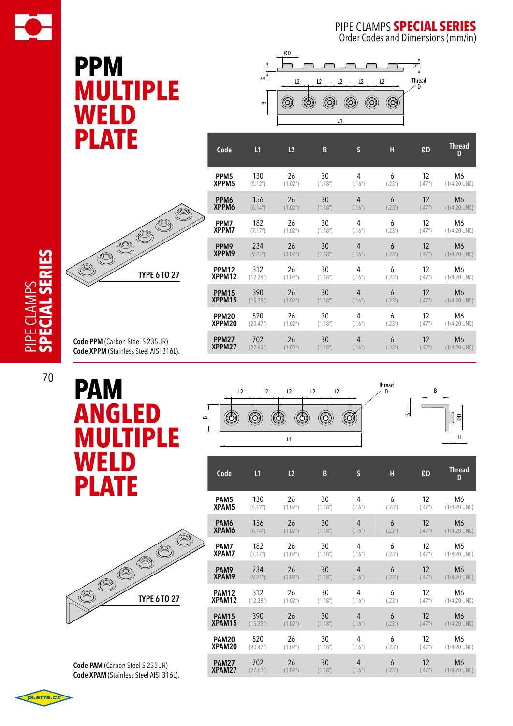

Order Codes and Dimensions (mm/in)

ØD

H

B

# **PPM MULTIP le weld plate**



| Code             | L1                     | L2                   | B                     | $\mathsf{S}$ | Н      | ØD                | <b>Thread</b><br>D |
|------------------|------------------------|----------------------|-----------------------|--------------|--------|-------------------|--------------------|
| PPM <sub>5</sub> | 130                    | 26                   | 30                    | 4            | 6      | 12                | M6                 |
| XPPM5            | (5.12 <sup>''</sup> )  | (1.02 <sup>n</sup> ) | (1.18 <sup>n</sup> )  | (.16")       | (.23") | (.47")            | $(1/4 - 20$ UNC)   |
| PPM <sub>6</sub> | 156                    | 26                   | 30                    | 4            | 6      | 12                | M6                 |
| XPPM6            | (6.14 <sup>n</sup> )   | (1.02 <sup>n</sup> ) | (1.18 <sup>''</sup> ) | (.16")       | (.23") | (.47")            | $(1/4 - 20$ UNC)   |
| PPM7             | 182                    | 26                   | 30                    | 4            | 6      | 12                | M6                 |
| XPPM7            | (7.17")                | (1.02 <sup>n</sup> ) | (1.18 <sup>''</sup> ) | (.16")       | (.23") | (.47")            | $(1/4 - 20$ UNC)   |
| PPM9             | 234                    | 26                   | 30                    | 4            | 6      | 12                | M <sub>6</sub>     |
| XPPM9            | (9.21 <sup>n</sup> )   | (1.02 <sup>n</sup> ) | (1.18 <sup>n</sup> )  | (.16")       | (.23") | (.47")            | $(1/4 - 20$ UNC)   |
| <b>PPM12</b>     | 312                    | 26                   | 30                    | 4            | 6      | 12                | M6                 |
| XPPM12           | (12.28 <sup>''</sup> ) | (1.02 <sup>n</sup> ) | (1.18 <sup>n</sup> )  | (.16")       | (.23") | (.47")            | $(1/4 - 20$ UNC)   |
| <b>PPM15</b>     | 390                    | 26                   | 30                    | 4            | 6      | 12                | M <sub>6</sub>     |
| XPPM15           | (15.35")               | (1.02 <sup>n</sup> ) | (1.18 <sup>n</sup> )  | (.16")       | (.23") | (.47")            | $(1/4 - 20$ UNC)   |
| <b>PPM20</b>     | 520                    | 26                   | 30                    | 4            | 6      | 12                | M6                 |
| XPPM20           | (20.47")               | (1.02 <sup>n</sup> ) | (1.18 <sup>n</sup> )  | (.16")       | (.23") | (.47")            | $(1/4 - 20$ UNC)   |
| <b>PPM27</b>     | 702                    | 26                   | 30                    | 4            | 6      | $12 \overline{ }$ | M <sub>6</sub>     |
| XPPM27           | (27.63")               | (1.02 <sup>n</sup> ) | (1.18 <sup>n</sup> )  | (.16")       | (.23") | (.47")            | $(1/4 - 20$ UNC)   |



**Code PPM** (Carbon Steel S 235 JR) **Code XPPM** (Stainless Steel AISI 316L).

**PAM angled MULTIPLE weld plate**



**Code PAM** (Carbon Steel S 235 JR) **Code XPAM** (Stainless Steel AISI 316L).



| Code             | L1                     | L2                   | B                     | $\mathsf S$    | H      | ØD     | <b>Thread</b><br>D |
|------------------|------------------------|----------------------|-----------------------|----------------|--------|--------|--------------------|
| PAM <sub>5</sub> | 130                    | 26                   | 30                    | 4              | 6      | 12     | M6                 |
| XPAM5            | (5.12 <sup>n</sup> )   | (1.02 <sup>n</sup> ) | (1.18 <sup>''</sup> ) | (.16")         | (.23") | (.47") | $(1/4 - 20$ UNC)   |
| PAM6             | 156                    | 26                   | 30                    | 4              | 6      | 12     | M6                 |
| XPAM6            | (6.14")                | (1.02 <sup>n</sup> ) | (1.18 <sup>n</sup> )  | (.16")         | (.23") | (.47") | $(1/4 - 20$ UNC)   |
| PAM7             | 182                    | 26                   | 30                    | 4              | 6      | 12     | M6                 |
| XPAM7            | (7.17")                | (1.02 <sup>n</sup> ) | (1.18 <sup>''</sup> ) | (.16")         | (.23") | (.47") | $(1/4 - 20$ UNC)   |
| PAM <sub>9</sub> | 234                    | 26                   | 30                    | $\overline{4}$ | 6      | 12     | M <sub>6</sub>     |
| XPAM9            | (9.21")                | (1.02 <sup>n</sup> ) | (1.18 <sup>n</sup> )  | (.16")         | (.23") | (.47") | $(1/4 - 20$ UNC)   |
| <b>PAM12</b>     | 312                    | 26                   | 30                    | 4              | 6      | 12     | M6                 |
| XPAM12           | (12.28 <sup>''</sup> ) | (1.02 <sup>n</sup> ) | (1.18 <sup>''</sup> ) | (.16")         | (.23") | (.47") | $(1/4 - 20$ UNC)   |
| <b>PAM15</b>     | 390                    | 26                   | 30                    | 4              | 6      | 12     | M6                 |
| XPAM15           | (15.35")               | (1.02 <sup>n</sup> ) | (1.18 <sup>n</sup> )  | (.16")         | (.23") | (.47") | $(1/4 - 20$ UNC)   |
| <b>PAM20</b>     | 520                    | 26                   | 30                    | 4              | 6      | 12     | M6                 |
| XPAM20           | (20.47")               | (1.02 <sup>n</sup> ) | (1.18 <sup>''</sup> ) | (.16")         | (.23") | (.47") | $(1/4 - 20$ UNC)   |
| <b>PAM27</b>     | 702                    | 26                   | 30                    | 4              | 6      | 12     | M6                 |
| XPAM27           | (27.63")               | (1.02 <sup>n</sup> ) | (1.18 <sup>n</sup> )  | (.16")         | (.23") | (.47") | $(1/4 - 20$ UNC)   |



70

**special series**

pipe clamps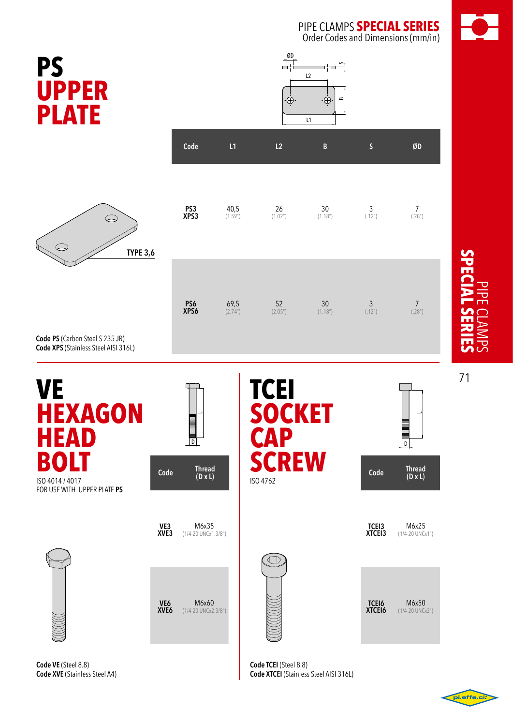pipe clamps **special series** Order Codes and Dimensions (mm/in)

S

 $\alpha$ 

∙Ò

**P U PLATE**

 $\bigcirc$ 

**TYPE 3,6**



 $\frac{8D}{\frac{1}{2}}$ 

 $-\dot{\bigoplus}$ 

L2

 $\overline{L1}$ 

**Code PS** (Carbon Steel S 235 JR) **Code XPS** (Stainless Steel AISI 316L)

 $\subset$ 

| VE<br><b>HEXAGON</b><br><b>HEAD</b>                           |                                     | $\overline{\phantom{a}}$ (in the set of $\overline{\phantom{a}}$ | <b>TCEI</b><br><b>SOCKET</b><br><b>CAP</b> |                        | D                               |
|---------------------------------------------------------------|-------------------------------------|------------------------------------------------------------------|--------------------------------------------|------------------------|---------------------------------|
| <b>BOLT</b><br>ISO 4014 / 4017<br>FOR USE WITH UPPER PLATE PS | Code                                | <b>Thread</b><br>$(D \times L)$                                  | <b>SCREW</b><br>ISO 4762                   | Code                   | <b>Thread</b><br>$(D \times L)$ |
|                                                               | VE3<br>XVE <sub>3</sub>             | M6x35<br>(1/4-20 UNCx1.3/8")                                     |                                            | TCEI3<br>XTCEI3        | M6x25<br>(1/4-20 UNCx1")        |
|                                                               | VE <sub>6</sub><br>XVE <sub>6</sub> | M6x60<br>(1/4-20 UNCx2.3/8")                                     |                                            | <b>TCEI6</b><br>XTCEI6 | M6x50<br>(1/4-20 UNCx2")        |

**Code VE** (Steel 8.8) **Code XVE** (Stainless Steel A4)

**Code TCEI** (Steel 8.8) **Code XTCEI** (Stainless Steel AISI 316L)



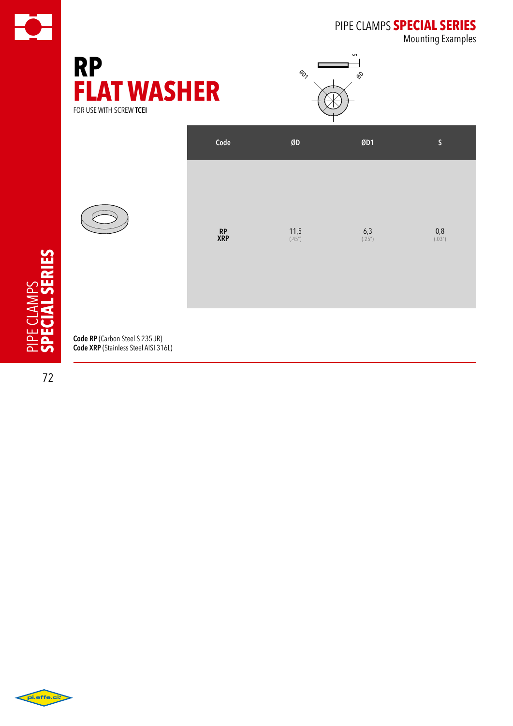

# pipe clamps **special series**

Mounting Examples







**Code RP** (Carbon Steel S 235 JR) **Code XRP** (Stainless Steel AISI 316L)

72